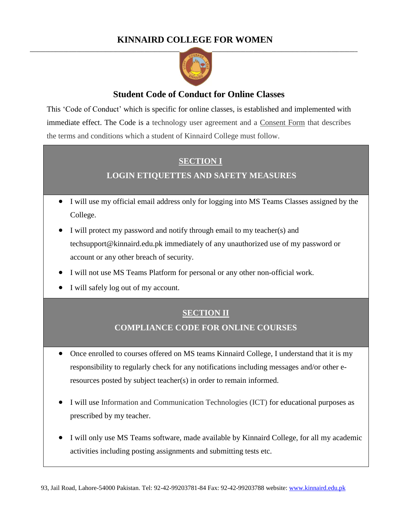# **KINNAIRD COLLEGE FOR WOMEN**



# **Student Code of Conduct for Online Classes**

This 'Code of Conduct' which is specific for online classes, is established and implemented with immediate effect. The Code is a technology user agreement and a Consent Form that describes the terms and conditions which a student of Kinnaird College must follow.

# **SECTION I**

# **LOGIN ETIQUETTES AND SAFETY MEASURES**

- I will use my official email address only for logging into MS Teams Classes assigned by the College.
- I will protect my password and notify through email to my teacher(s) and techsupport@kinnaird.edu.pk immediately of any unauthorized use of my password or account or any other breach of security.
- I will not use MS Teams Platform for personal or any other non-official work.
- I will safely log out of my account.

## **SECTION II**

#### **COMPLIANCE CODE FOR ONLINE COURSES**

- Once enrolled to courses offered on MS teams Kinnaird College, I understand that it is my responsibility to regularly check for any notifications including messages and/or other eresources posted by subject teacher(s) in order to remain informed.
- I will use Information and Communication Technologies (ICT) for educational purposes as prescribed by my teacher.
- I will only use MS Teams software, made available by Kinnaird College, for all my academic activities including posting assignments and submitting tests etc.